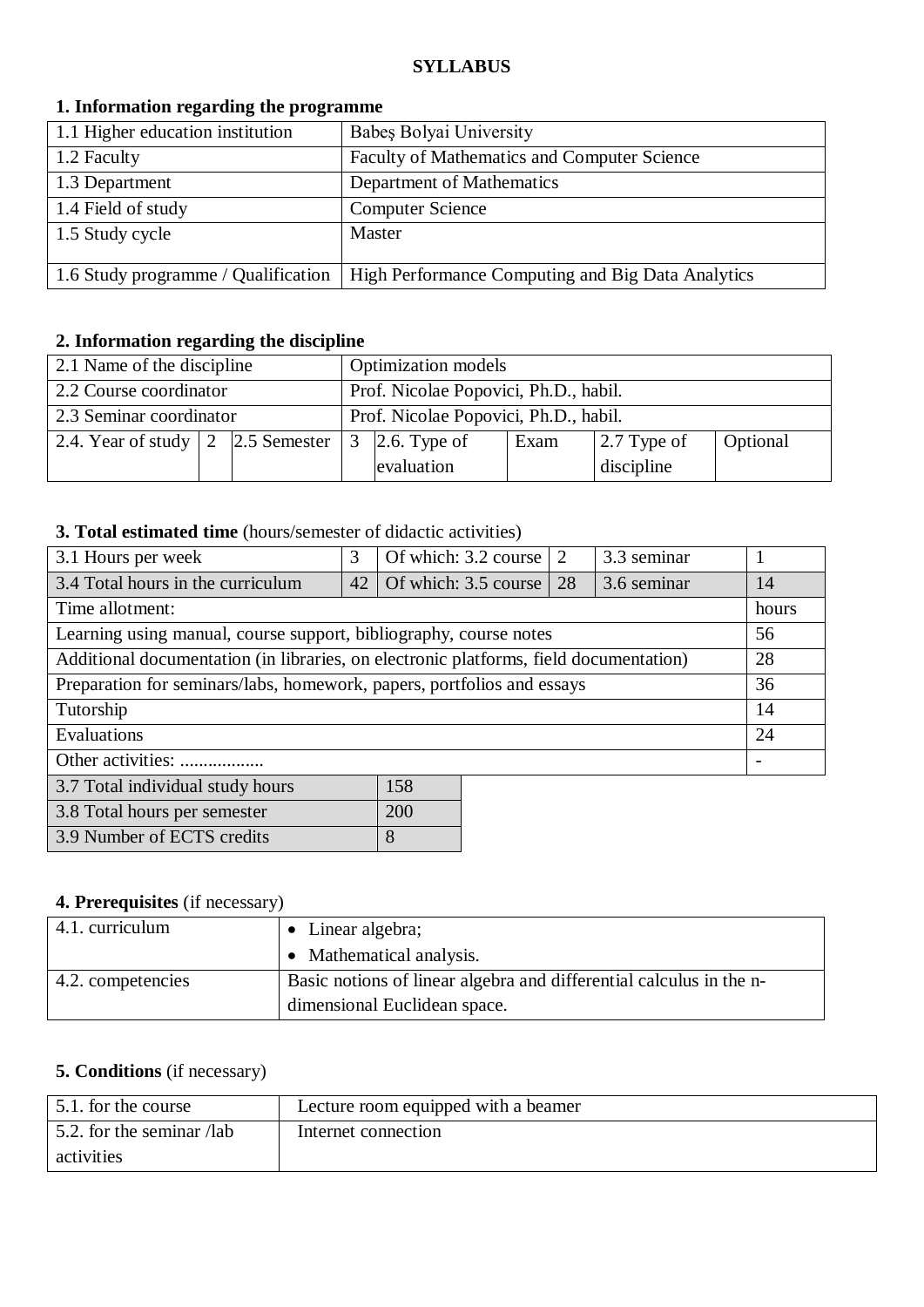### **SYLLABUS**

### **1. Information regarding the programme**

| 1.1 Higher education institution    | Babes Bolyai University                           |
|-------------------------------------|---------------------------------------------------|
| 1.2 Faculty                         | Faculty of Mathematics and Computer Science       |
| 1.3 Department                      | Department of Mathematics                         |
| 1.4 Field of study                  | <b>Computer Science</b>                           |
| 1.5 Study cycle                     | Master                                            |
|                                     |                                                   |
| 1.6 Study programme / Qualification | High Performance Computing and Big Data Analytics |

## **2. Information regarding the discipline**

| 2.1 Name of the discipline                                                              |  |                                       | <b>Optimization</b> models                                |  |  |  |  |
|-----------------------------------------------------------------------------------------|--|---------------------------------------|-----------------------------------------------------------|--|--|--|--|
| 2.2 Course coordinator                                                                  |  | Prof. Nicolae Popovici, Ph.D., habil. |                                                           |  |  |  |  |
| 2.3 Seminar coordinator                                                                 |  |                                       | Prof. Nicolae Popovici, Ph.D., habil.                     |  |  |  |  |
| 2.4. Year of study $\begin{array}{ c c c } \hline 2 & 2.5 \text{ Semester} \end{array}$ |  |                                       | $\vert$ 2.7 Type of<br>3 2.6. Type of<br>Exam<br>Optional |  |  |  |  |
|                                                                                         |  |                                       | discipline<br>evaluation                                  |  |  |  |  |

### **3. Total estimated time** (hours/semester of didactic activities)

| 3.1 Hours per week                                                                    | 3  | Of which: 3.2 course | 2  | 3.3 seminar |                          |
|---------------------------------------------------------------------------------------|----|----------------------|----|-------------|--------------------------|
| 3.4 Total hours in the curriculum                                                     | 42 | Of which: 3.5 course | 28 | 3.6 seminar | 14                       |
| Time allotment:                                                                       |    |                      |    |             | hours                    |
| Learning using manual, course support, bibliography, course notes                     |    |                      |    |             | 56                       |
| Additional documentation (in libraries, on electronic platforms, field documentation) |    |                      |    |             | 28                       |
| Preparation for seminars/labs, homework, papers, portfolios and essays                |    |                      |    |             | 36                       |
| Tutorship                                                                             |    |                      |    |             | 14                       |
| Evaluations                                                                           |    |                      |    |             | 24                       |
| Other activities:                                                                     |    |                      |    |             | $\overline{\phantom{a}}$ |
| 158<br>3.7 Total individual study hours                                               |    |                      |    |             |                          |
| 200<br>3.8 Total hours per semester                                                   |    |                      |    |             |                          |

### **4. Prerequisites** (if necessary)

3.9 Number of ECTS credits 8

| 4.1. curriculum   | $\bullet$ Linear algebra;                                           |
|-------------------|---------------------------------------------------------------------|
|                   | • Mathematical analysis.                                            |
| 4.2. competencies | Basic notions of linear algebra and differential calculus in the n- |
|                   | dimensional Euclidean space.                                        |

## **5. Conditions** (if necessary)

| 5.1. for the course       | Lecture room equipped with a beamer |
|---------------------------|-------------------------------------|
| 5.2. for the seminar /lab | Internet connection                 |
| activities                |                                     |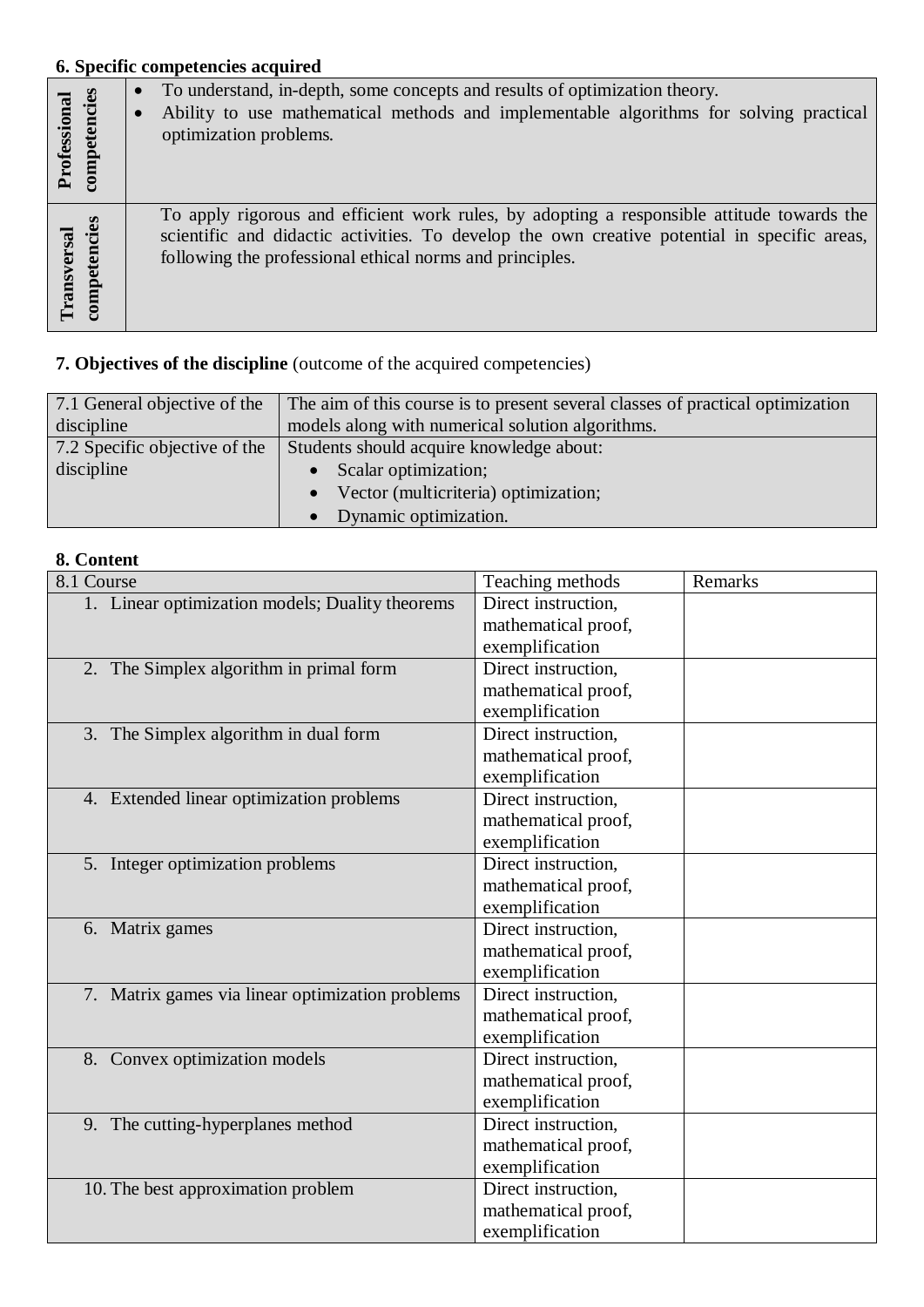# **6. Specific competencies acquired**

| Professional<br>competencies | To understand, in-depth, some concepts and results of optimization theory.<br>Ability to use mathematical methods and implementable algorithms for solving practical<br>optimization problems.                                                         |
|------------------------------|--------------------------------------------------------------------------------------------------------------------------------------------------------------------------------------------------------------------------------------------------------|
| Transversal<br>competencies  | To apply rigorous and efficient work rules, by adopting a responsible attitude towards the<br>scientific and didactic activities. To develop the own creative potential in specific areas,<br>following the professional ethical norms and principles. |

## **7. Objectives of the discipline** (outcome of the acquired competencies)

| 7.1 General objective of the  | The aim of this course is to present several classes of practical optimization |  |  |
|-------------------------------|--------------------------------------------------------------------------------|--|--|
| discipline                    | models along with numerical solution algorithms.                               |  |  |
| 7.2 Specific objective of the | Students should acquire knowledge about:                                       |  |  |
| discipline                    | Scalar optimization;                                                           |  |  |
|                               | Vector (multicriteria) optimization;                                           |  |  |
|                               | Dynamic optimization.                                                          |  |  |

## **8. Content**

| 8.1 Course                                       | Teaching methods    | Remarks |
|--------------------------------------------------|---------------------|---------|
| 1. Linear optimization models; Duality theorems  | Direct instruction, |         |
|                                                  | mathematical proof, |         |
|                                                  | exemplification     |         |
| 2. The Simplex algorithm in primal form          | Direct instruction, |         |
|                                                  | mathematical proof, |         |
|                                                  | exemplification     |         |
| 3. The Simplex algorithm in dual form            | Direct instruction, |         |
|                                                  | mathematical proof, |         |
|                                                  | exemplification     |         |
| 4. Extended linear optimization problems         | Direct instruction, |         |
|                                                  | mathematical proof, |         |
|                                                  | exemplification     |         |
| 5. Integer optimization problems                 | Direct instruction, |         |
|                                                  | mathematical proof, |         |
|                                                  | exemplification     |         |
| 6. Matrix games                                  | Direct instruction, |         |
|                                                  | mathematical proof, |         |
|                                                  | exemplification     |         |
| 7. Matrix games via linear optimization problems | Direct instruction. |         |
|                                                  | mathematical proof, |         |
|                                                  | exemplification     |         |
| 8. Convex optimization models                    | Direct instruction, |         |
|                                                  | mathematical proof, |         |
|                                                  | exemplification     |         |
| 9. The cutting-hyperplanes method                | Direct instruction, |         |
|                                                  | mathematical proof, |         |
|                                                  | exemplification     |         |
| 10. The best approximation problem               | Direct instruction, |         |
|                                                  | mathematical proof, |         |
|                                                  | exemplification     |         |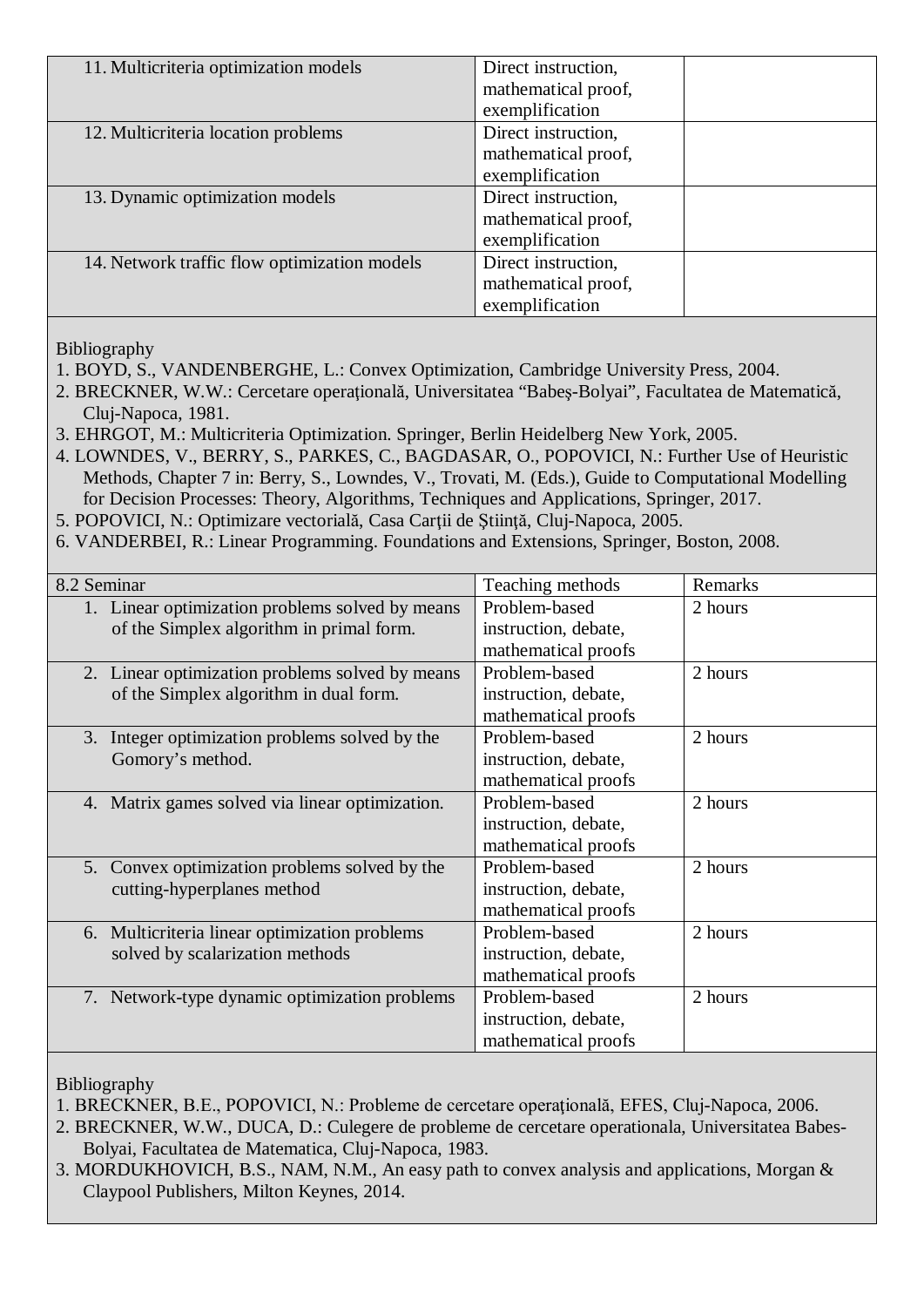| 11. Multicriteria optimization models        | Direct instruction, |
|----------------------------------------------|---------------------|
|                                              | mathematical proof, |
|                                              | exemplification     |
| 12. Multicriteria location problems          | Direct instruction, |
|                                              | mathematical proof, |
|                                              | exemplification     |
| 13. Dynamic optimization models              | Direct instruction, |
|                                              | mathematical proof, |
|                                              | exemplification     |
| 14. Network traffic flow optimization models | Direct instruction, |
|                                              | mathematical proof, |
|                                              | exemplification     |

Bibliography

1. BOYD, S., VANDENBERGHE, L.: Convex Optimization, Cambridge University Press, 2004.

- 2. BRECKNER, W.W.: Cercetare operaţională, Universitatea "Babeş-Bolyai", Facultatea de Matematică, Cluj-Napoca, 1981.
- 3. EHRGOT, M.: Multicriteria Optimization. Springer, Berlin Heidelberg New York, 2005.
- 4. LOWNDES, V., BERRY, S., PARKES, C., BAGDASAR, O., POPOVICI, N.: Further Use of Heuristic Methods, Chapter 7 in: Berry, S., Lowndes, V., Trovati, M. (Eds.), Guide to Computational Modelling for Decision Processes: Theory, Algorithms, Techniques and Applications, Springer, 2017.
- 5. POPOVICI, N.: Optimizare vectorială, Casa Carţii de Ştiinţă, Cluj-Napoca, 2005.
- 6. VANDERBEI, R.: Linear Programming. Foundations and Extensions, Springer, Boston, 2008.

| 8.2 Seminar                                     | Teaching methods     | Remarks |
|-------------------------------------------------|----------------------|---------|
| 1. Linear optimization problems solved by means | Problem-based        | 2 hours |
| of the Simplex algorithm in primal form.        | instruction, debate, |         |
|                                                 | mathematical proofs  |         |
| 2. Linear optimization problems solved by means | Problem-based        | 2 hours |
| of the Simplex algorithm in dual form.          | instruction, debate, |         |
|                                                 | mathematical proofs  |         |
| 3. Integer optimization problems solved by the  | Problem-based        | 2 hours |
| Gomory's method.                                | instruction, debate, |         |
|                                                 | mathematical proofs  |         |
| 4. Matrix games solved via linear optimization. | Problem-based        | 2 hours |
|                                                 | instruction, debate, |         |
|                                                 | mathematical proofs  |         |
| 5. Convex optimization problems solved by the   | Problem-based        | 2 hours |
| cutting-hyperplanes method                      | instruction, debate, |         |
|                                                 | mathematical proofs  |         |
| 6. Multicriteria linear optimization problems   | Problem-based        | 2 hours |
| solved by scalarization methods                 | instruction, debate, |         |
|                                                 | mathematical proofs  |         |
| 7. Network-type dynamic optimization problems   | Problem-based        | 2 hours |
|                                                 | instruction, debate, |         |
|                                                 | mathematical proofs  |         |

Bibliography

1. BRECKNER, B.E., POPOVICI, N.: Probleme de cercetare operaţională, EFES, Cluj-Napoca, 2006.

2. BRECKNER, W.W., DUCA, D.: Culegere de probleme de cercetare operationala, Universitatea Babes-Bolyai, Facultatea de Matematica, Cluj-Napoca, 1983.

3. MORDUKHOVICH, B.S., NAM, N.M., An easy path to convex analysis and applications, Morgan & Claypool Publishers, Milton Keynes, 2014.